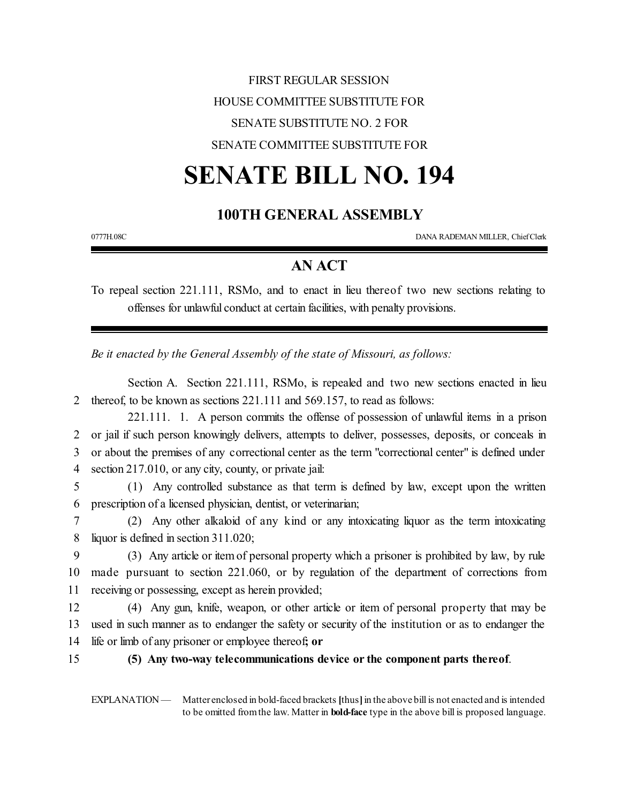# FIRST REGULAR SESSION HOUSE COMMITTEE SUBSTITUTE FOR SENATE SUBSTITUTE NO. 2 FOR SENATE COMMITTEE SUBSTITUTE FOR

# **SENATE BILL NO. 194**

## **100TH GENERAL ASSEMBLY**

0777H.08C DANA RADEMAN MILLER, ChiefClerk

## **AN ACT**

To repeal section 221.111, RSMo, and to enact in lieu thereof two new sections relating to offenses for unlawful conduct at certain facilities, with penalty provisions.

*Be it enacted by the General Assembly of the state of Missouri, as follows:*

Section A. Section 221.111, RSMo, is repealed and two new sections enacted in lieu 2 thereof, to be known as sections 221.111 and 569.157, to read as follows:

221.111. 1. A person commits the offense of possession of unlawful items in a prison or jail if such person knowingly delivers, attempts to deliver, possesses, deposits, or conceals in or about the premises of any correctional center as the term "correctional center" is defined under section 217.010, or any city, county, or private jail:

5 (1) Any controlled substance as that term is defined by law, except upon the written 6 prescription of a licensed physician, dentist, or veterinarian;

7 (2) Any other alkaloid of any kind or any intoxicating liquor as the term intoxicating 8 liquor is defined in section 311.020;

9 (3) Any article or itemof personal property which a prisoner is prohibited by law, by rule 10 made pursuant to section 221.060, or by regulation of the department of corrections from 11 receiving or possessing, except as herein provided;

12 (4) Any gun, knife, weapon, or other article or item of personal property that may be 13 used in such manner as to endanger the safety or security of the institution or as to endanger the 14 life or limb of any prisoner or employee thereof**; or**

#### 15 **(5) Any two-way telecommunications device or the component parts thereof**.

EXPLANATION — Matter enclosed in bold-faced brackets [thus] in the above bill is not enacted and is intended to be omitted fromthe law. Matter in **bold-face** type in the above bill is proposed language.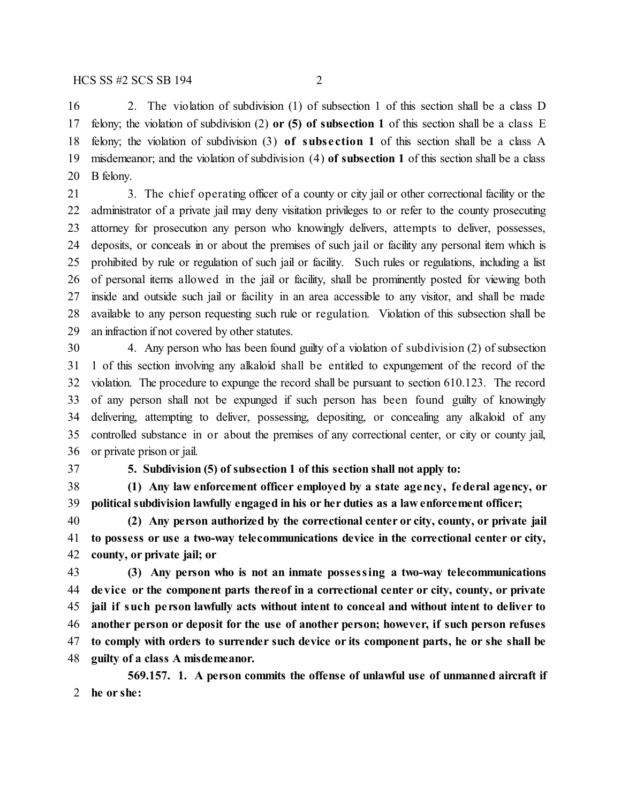2. The violation of subdivision (1) of subsection 1 of this section shall be a class D felony; the violation of subdivision (2) **or (5) of subsection 1** of this section shall be a class E felony; the violation of subdivision (3) **of subs e ction 1** of this section shall be a class A misdemeanor; and the violation of subdivision (4) **of subsection 1** of this section shall be a class B felony.

 3. The chief operating officer of a county or city jail or other correctional facility or the administrator of a private jail may deny visitation privileges to or refer to the county prosecuting attorney for prosecution any person who knowingly delivers, attempts to deliver, possesses, deposits, or conceals in or about the premises of such jail or facility any personal item which is prohibited by rule or regulation of such jail or facility. Such rules or regulations, including a list of personal items allowed in the jail or facility, shall be prominently posted for viewing both inside and outside such jail or facility in an area accessible to any visitor, and shall be made available to any person requesting such rule or regulation. Violation of this subsection shall be an infraction if not covered by other statutes.

 4. Any person who has been found guilty of a violation of subdivision (2) of subsection 1 of this section involving any alkaloid shall be entitled to expungement of the record of the violation. The procedure to expunge the record shall be pursuant to section 610.123. The record of any person shall not be expunged if such person has been found guilty of knowingly delivering, attempting to deliver, possessing, depositing, or concealing any alkaloid of any controlled substance in or about the premises of any correctional center, or city or county jail, or private prison or jail.

**5. Subdivision (5) of subsection 1 of this section shall not apply to:**

 **(1) Any law enforcement officer employed by a state agency, federal agency, or political subdivision lawfully engaged in his or her duties as a law enforcement officer;**

 **(2) Any person authorized by the correctional center or city, county, or private jail to possess or use a two-way telecommunications device in the correctional center or city, county, or private jail; or**

 **(3) Any person who is not an inmate possessing a two-way telecommunications device or the component parts thereof in a correctional center or city, county, or private jail if such pe rson lawfully acts without intent to conceal and without intent to deliver to another person or deposit for the use of another person; however, if such person refuses to comply with orders to surrender such device or its component parts, he or she shall be guilty of a class A misdemeanor.**

**569.157. 1. A person commits the offense of unlawful use of unmanned aircraft if he or she:**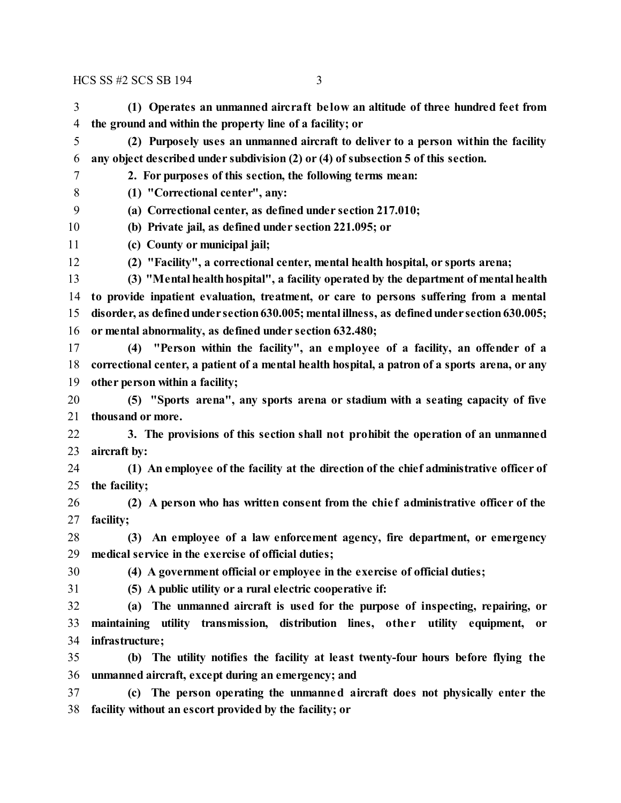#### HCS SS #2 SCS SB 194 3

**the ground and within the property line of a facility; or**

**(1) Operates an unmanned aircraft be low an altitude of three hundred feet from**

**(2) Purposely uses an unmanned aircraft to deliver to a person within the facility**

| 6  | any object described under subdivision (2) or (4) of subsection 5 of this section.              |
|----|-------------------------------------------------------------------------------------------------|
| 7  | 2. For purposes of this section, the following terms mean:                                      |
| 8  | (1) "Correctional center", any:                                                                 |
| 9  | (a) Correctional center, as defined under section 217.010;                                      |
| 10 | (b) Private jail, as defined under section 221.095; or                                          |
| 11 | (c) County or municipal jail;                                                                   |
| 12 | (2) "Facility", a correctional center, mental health hospital, or sports arena;                 |
| 13 | (3) "Mental health hospital", a facility operated by the department of mental health            |
| 14 | to provide inpatient evaluation, treatment, or care to persons suffering from a mental          |
| 15 | disorder, as defined under section 630.005; mental illness, as defined under section 630.005;   |
| 16 | or mental abnormality, as defined under section 632.480;                                        |
| 17 | "Person within the facility", an employee of a facility, an offender of a<br>(4)                |
| 18 | correctional center, a patient of a mental health hospital, a patron of a sports arena, or any  |
| 19 | other person within a facility;                                                                 |
| 20 | (5) "Sports arena", any sports arena or stadium with a seating capacity of five                 |
| 21 | thousand or more.                                                                               |
| 22 | 3. The provisions of this section shall not prohibit the operation of an unmanned               |
| 23 | aircraft by:                                                                                    |
| 24 | (1) An employee of the facility at the direction of the chief administrative officer of         |
| 25 | the facility;                                                                                   |
| 26 | (2) A person who has written consent from the chief administrative officer of the               |
| 27 | facility;                                                                                       |
| 28 | An employee of a law enforcement agency, fire department, or emergency<br>(3)                   |
| 29 | medical service in the exercise of official duties;                                             |
| 30 | (4) A government official or employee in the exercise of official duties;                       |
| 31 | (5) A public utility or a rural electric cooperative if:                                        |
| 32 | (a) The unmanned aircraft is used for the purpose of inspecting, repairing, or                  |
| 33 | maintaining utility transmission, distribution lines, other utility equipment,<br><sub>or</sub> |
| 34 | infrastructure;                                                                                 |
| 35 | The utility notifies the facility at least twenty-four hours before flying the<br>(b)           |
| 36 | unmanned aircraft, except during an emergency; and                                              |

 **(c) The person operating the unmanned aircraft does not physically enter the facility without an escort provided by the facility; or**